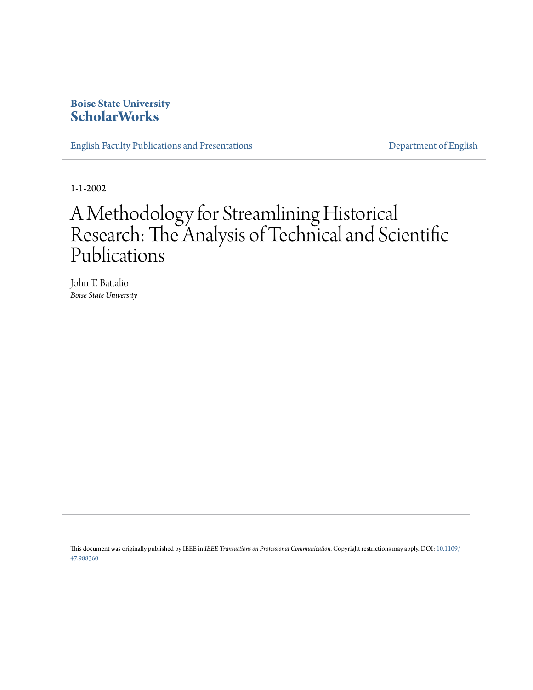### **Boise State University [ScholarWorks](https://scholarworks.boisestate.edu)**

[English Faculty Publications and Presentations](https://scholarworks.boisestate.edu/english_facpubs) **[Department of English](https://scholarworks.boisestate.edu/english)** 

1-1-2002

## A Methodology for Streamlining Historical Research: The Analysis of Technical and Scientific Publications

John T. Battalio *Boise State University*

This document was originally published by IEEE in *IEEE Transactions on Professional Communication.* Copyright restrictions may apply. DOI: [10.1109/](http://dx.doi.org/10.1109/47.988360) [47.988360](http://dx.doi.org/10.1109/47.988360)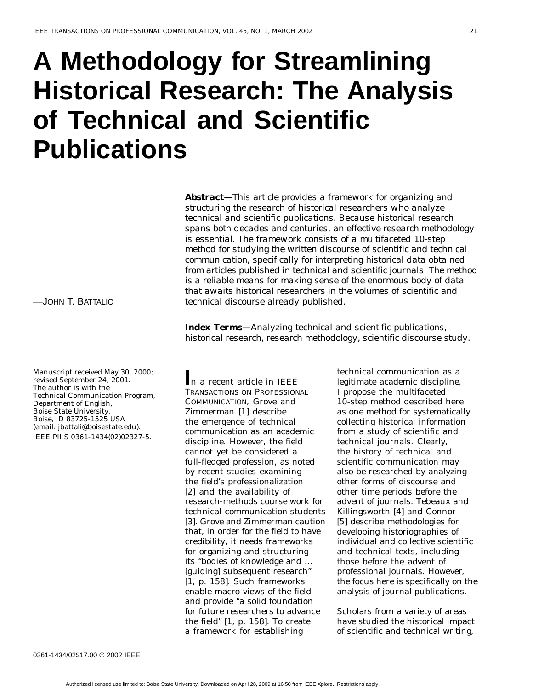# **A Methodology for Streamlining Historical Research: The Analysis of Technical and Scientific Publications**

*Abstract—This article provides a framework for organizing and structuring the research of historical researchers who analyze technical and scientific publications. Because historical research spans both decades and centuries, an effective research methodology is essential. The framework consists of a multifaceted 10-step method for studying the written discourse of scientific and technical communication, specifically for interpreting historical data obtained from articles published in technical and scientific journals. The method is a reliable means for making sense of the enormous body of data that awaits historical researchers in the volumes of scientific and technical discourse already published.*

*Index Terms—Analyzing technical and scientific publications, historical research, research methodology, scientific discourse study.*

Manuscript received May 30, 2000; revised September 24, 2001. The author is with the Technical Communication Program, Department of English, Boise State University, Boise, ID 83725-1525 USA (email: jbattali@boisestate.edu). IEEE PII S 0361-1434(02)02327-5.

—JOHN T. BATTALIO

TRANSACTIONS ON PROFESSIONAL COMMUNICATION, Grove and Zimmerman [1] describe the emergence of technical communication as an academic discipline. However, the field cannot yet be considered a full-fledged profession, as noted by recent studies examining the field's professionalization [2] and the availability of research-methods course work for technical-communication students [3]. Grove and Zimmerman caution that, in order for the field to have credibility, it needs frameworks for organizing and structuring its "bodies of knowledge and … [guiding] subsequent research" [1, p. 158]. Such frameworks enable macro views of the field and provide "a solid foundation for future researchers to advance the field" [1, p. 158]. To create a framework for establishing

**I**n a recent article in IEEE

technical communication as a legitimate academic discipline, I propose the multifaceted 10-step method described here as one method for systematically collecting historical information from a study of scientific and technical journals. Clearly, the history of technical and scientific communication may also be researched by analyzing other forms of discourse and other time periods before the advent of journals. Tebeaux and Killingsworth [4] and Connor [5] describe methodologies for developing historiographies of individual and collective scientific and technical texts, including those before the advent of professional journals. However, the focus here is specifically on the analysis of journal publications.

Scholars from a variety of areas have studied the historical impact of scientific and technical writing,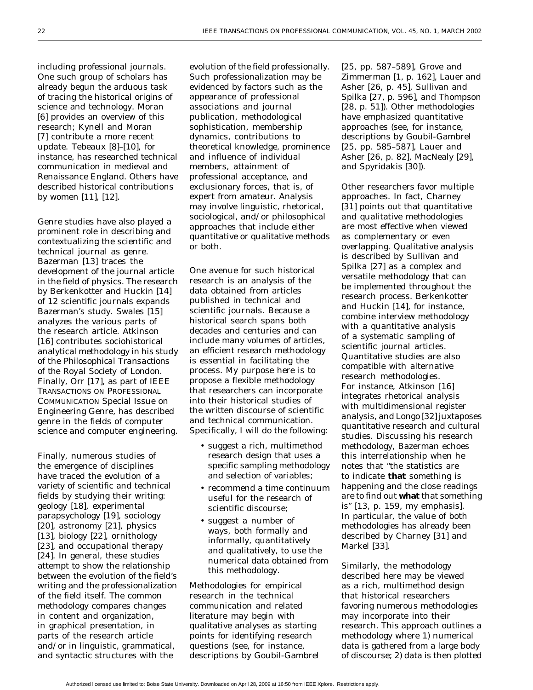including professional journals. One such group of scholars has already begun the arduous task of tracing the historical origins of science and technology. Moran [6] provides an overview of this research; Kynell and Moran [7] contribute a more recent update. Tebeaux [8]–[10], for instance, has researched technical communication in medieval and Renaissance England. Others have described historical contributions by women [11], [12].

Genre studies have also played a prominent role in describing and contextualizing the scientific and technical journal as genre. Bazerman [13] traces the development of the journal article in the field of physics. The research by Berkenkotter and Huckin [14] of 12 scientific journals expands Bazerman's study. Swales [15] analyzes the various parts of the research article. Atkinson [16] contributes sociohistorical analytical methodology in his study of the *Philosophical Transactions of the Royal Society of London*. Finally, Orr [17], as part of IEEE TRANSACTIONS ON PROFESSIONAL COMMUNICATION Special Issue on Engineering Genre, has described genre in the fields of computer science and computer engineering.

Finally, numerous studies of the emergence of disciplines have traced the evolution of a variety of scientific and technical fields by studying their writing: geology [18], experimental parapsychology [19], sociology [20], astronomy [21], physics [13], biology [22], ornithology [23], and occupational therapy [24]. In general, these studies attempt to show the relationship between the evolution of the field's writing and the professionalization of the field itself. The common methodology compares changes in content and organization, in graphical presentation, in parts of the research article and/or in linguistic, grammatical, and syntactic structures with the

evolution of the field professionally. Such professionalization may be evidenced by factors such as the appearance of professional associations and journal publication, methodological sophistication, membership dynamics, contributions to theoretical knowledge, prominence and influence of individual members, attainment of professional acceptance, and exclusionary forces, that is, of expert from amateur. Analysis may involve linguistic, rhetorical, sociological, and/or philosophical approaches that include either quantitative or qualitative methods or both.

One avenue for such historical research is an analysis of the data obtained from articles published in technical and scientific journals. Because a historical search spans both decades and centuries and can include many volumes of articles, an efficient research methodology is essential in facilitating the process. My purpose here is to propose a flexible methodology that researchers can incorporate into their historical studies of the written discourse of scientific and technical communication. Specifically, I will do the following:

- suggest a rich, multimethod research design that uses a specific sampling methodology and selection of variables;
- recommend a time continuum useful for the research of scientific discourse;
- suggest a number of ways, both formally and informally, quantitatively and qualitatively, to use the numerical data obtained from this methodology.

Methodologies for empirical research in the technical communication and related literature may begin with qualitative analyses as starting points for identifying research questions (see, for instance, descriptions by Goubil-Gambrel

[25, pp. 587–589], Grove and Zimmerman [1, p. 162], Lauer and Asher [26, p. 45], Sullivan and Spilka [27, p. 596], and Thompson [28, p. 51]). Other methodologies have emphasized quantitative approaches (see, for instance, descriptions by Goubil-Gambrel [25, pp. 585–587], Lauer and Asher [26, p. 82], MacNealy [29], and Spyridakis [30]).

Other researchers favor multiple approaches. In fact, Charney [31] points out that quantitative and qualitative methodologies are most effective when viewed as complementary or even overlapping. Qualitative analysis is described by Sullivan and Spilka [27] as a complex and versatile methodology that can be implemented throughout the research process. Berkenkotter and Huckin [14], for instance, combine interview methodology with a quantitative analysis of a systematic sampling of scientific journal articles. Quantitative studies are also compatible with alternative research methodologies. For instance, Atkinson [16] integrates rhetorical analysis with multidimensional register analysis, and Longo [32] juxtaposes quantitative research and cultural studies. Discussing his research methodology, Bazerman echoes this interrelationship when he notes that "the statistics are to indicate **that** something is happening and the close readings are to find out **what** that something is" [13, p. 159, my emphasis]. In particular, the value of both methodologies has already been described by Charney [31] and Markel [33].

Similarly, the methodology described here may be viewed as a rich, multimethod design that historical researchers favoring numerous methodologies may incorporate into their research. This approach outlines a methodology where 1) numerical data is gathered from a large body of discourse; 2) data is then plotted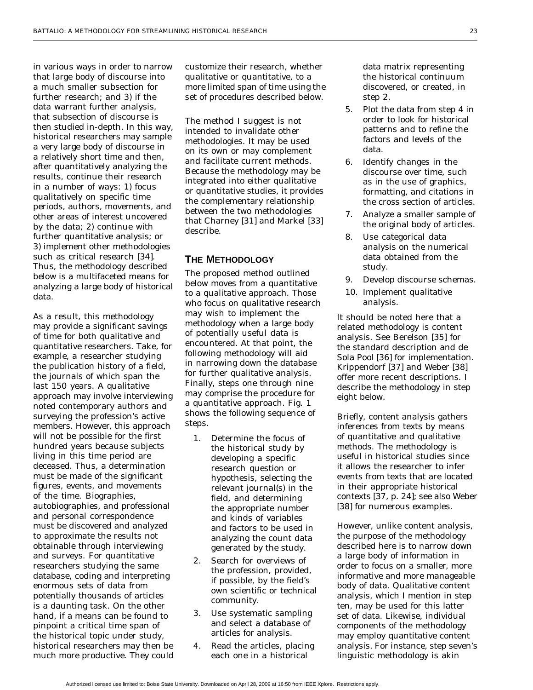in various ways in order to narrow that large body of discourse into a much smaller subsection for further research; and 3) if the data warrant further analysis, that subsection of discourse is then studied in-depth. In this way, historical researchers may sample a very large body of discourse in a relatively short time and then, after quantitatively analyzing the results, continue their research in a number of ways: 1) focus qualitatively on specific time periods, authors, movements, and other areas of interest uncovered by the data; 2) continue with further quantitative analysis; or 3) implement other methodologies such as critical research [34]. Thus, the methodology described below is a multifaceted means for analyzing a large body of historical data.

As a result, this methodology may provide a significant savings of time for both qualitative and quantitative researchers. Take, for example, a researcher studying the publication history of a field, the journals of which span the last 150 years. A qualitative approach may involve interviewing noted contemporary authors and surveying the profession's active members. However, this approach will not be possible for the first hundred years because subjects living in this time period are deceased. Thus, a determination must be made of the significant figures, events, and movements of the time. Biographies, autobiographies, and professional and personal correspondence must be discovered and analyzed to approximate the results not obtainable through interviewing and surveys. For quantitative researchers studying the same database, coding and interpreting enormous sets of data from potentially thousands of articles is a daunting task. On the other hand, if a means can be found to pinpoint a critical time span of the historical topic under study, historical researchers may then be much more productive. They could customize their research, whether qualitative or quantitative, to a more limited span of time using the set of procedures described below.

The method I suggest is not intended to invalidate other methodologies. It may be used on its own or may complement and facilitate current methods. Because the methodology may be integrated into either qualitative or quantitative studies, it provides the complementary relationship between the two methodologies that Charney [31] and Markel [33] describe.

#### **THE METHODOLOGY**

The proposed method outlined below moves from a quantitative to a qualitative approach. Those who focus on qualitative research may wish to implement the methodology when a large body of potentially useful data is encountered. At that point, the following methodology will aid in narrowing down the database for further qualitative analysis. Finally, steps one through nine may comprise the procedure for a quantitative approach. Fig. 1 shows the following sequence of steps.

- 1. Determine the focus of the historical study by developing a specific research question or hypothesis, selecting the relevant journal(s) in the field, and determining the appropriate number and kinds of variables and factors to be used in analyzing the count data generated by the study.
- 2. Search for overviews of the profession, provided, if possible, by the field's own scientific or technical community.
- 3. Use systematic sampling and select a database of articles for analysis.
- 4. Read the articles, placing each one in a historical

data matrix representing the historical continuum discovered, or created, in step 2.

- 5. Plot the data from step 4 in order to look for historical patterns and to refine the factors and levels of the data.
- 6. Identify changes in the discourse over time, such as in the use of graphics, formatting, and citations in the cross section of articles.
- 7. Analyze a smaller sample of the original body of articles.
- 8. Use categorical data analysis on the numerical data obtained from the study.
- 9. Develop discourse schemas.
- 10. Implement qualitative analysis.

It should be noted here that a related methodology is content analysis. See Berelson [35] for the standard description and de Sola Pool [36] for implementation. Krippendorf [37] and Weber [38] offer more recent descriptions. I describe the methodology in step eight below.

Briefly, content analysis gathers inferences from texts by means of quantitative and qualitative methods. The methodology is useful in historical studies since it allows the researcher to infer events from texts that are located in their appropriate historical contexts [37, p. 24]; see also Weber [38] for numerous examples.

However, unlike content analysis, the purpose of the methodology described here is to narrow down a large body of information in order to focus on a smaller, more informative and more manageable body of data. Qualitative content analysis, which I mention in step ten, may be used for this latter set of data. Likewise, individual components of the methodology may employ quantitative content analysis. For instance, step seven's linguistic methodology is akin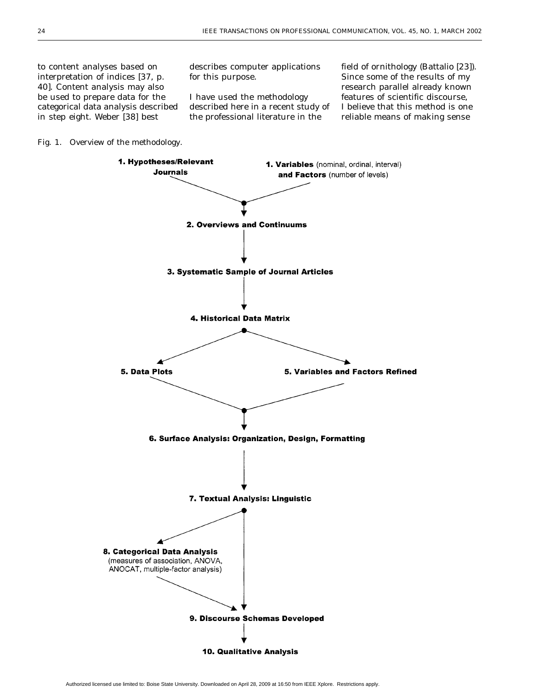to content analyses based on interpretation of indices [37, p. 40]. Content analysis may also be used to prepare data for the categorical data analysis described in step eight. Weber [38] best

describes computer applications for this purpose.

I have used the methodology described here in a recent study of the professional literature in the

field of ornithology (Battalio [23]). Since some of the results of my research parallel already known features of scientific discourse, I believe that this method is one reliable means of making sense

Fig. 1. Overview of the methodology.

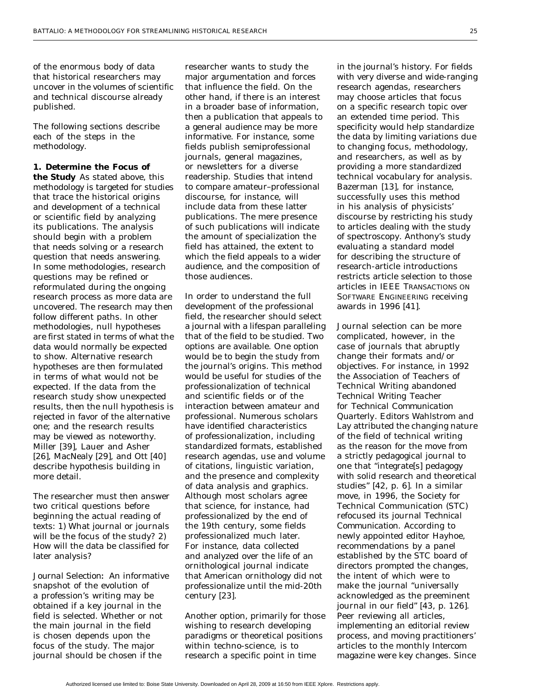of the enormous body of data that historical researchers may uncover in the volumes of scientific and technical discourse already published.

The following sections describe each of the steps in the methodology.

**1. Determine the Focus of**

**the Study** As stated above, this methodology is targeted for studies that trace the historical origins and development of a technical or scientific field by analyzing its publications. The analysis should begin with a problem that needs solving or a research question that needs answering. In some methodologies, research questions may be refined or reformulated during the ongoing research process as more data are uncovered. The research may then follow different paths. In other methodologies, null hypotheses are first stated in terms of what the data would normally be expected to show. Alternative research hypotheses are then formulated in terms of what would not be expected. If the data from the research study show unexpected results, then the null hypothesis is rejected in favor of the alternative one; and the research results may be viewed as noteworthy. Miller [39], Lauer and Asher [26], MacNealy [29], and Ott [40] describe hypothesis building in more detail.

The researcher must then answer two critical questions before beginning the actual reading of texts: 1) What journal or journals will be the focus of the study? 2) How will the data be classified for later analysis?

*Journal Selection***:** An informative snapshot of the evolution of a profession's writing may be obtained if a key journal in the field is selected. Whether or not the main journal in the field is chosen depends upon the focus of the study. The major journal should be chosen if the

researcher wants to study the major argumentation and forces that influence the field. On the other hand, if there is an interest in a broader base of information, then a publication that appeals to a general audience may be more informative. For instance, some fields publish semiprofessional journals, general magazines, or newsletters for a diverse readership. Studies that intend to compare amateur–professional discourse, for instance, will include data from these latter publications. The mere presence of such publications will indicate the amount of specialization the field has attained, the extent to which the field appeals to a wider audience, and the composition of those audiences.

In order to understand the full development of the professional field, the researcher should select a journal with a lifespan paralleling that of the field to be studied. Two options are available. One option would be to begin the study from the journal's origins. This method would be useful for studies of the professionalization of technical and scientific fields or of the interaction between amateur and professional. Numerous scholars have identified characteristics of professionalization, including standardized formats, established research agendas, use and volume of citations, linguistic variation, and the presence and complexity of data analysis and graphics. Although most scholars agree that science, for instance, had professionalized by the end of the 19th century, some fields professionalized much later. For instance, data collected and analyzed over the life of an ornithological journal indicate that American ornithology did not professionalize until the mid-20th century [23].

Another option, primarily for those wishing to research developing paradigms or theoretical positions within techno-science, is to research a specific point in time

in the journal's history. For fields with very diverse and wide-ranging research agendas, researchers may choose articles that focus on a specific research topic over an extended time period. This specificity would help standardize the data by limiting variations due to changing focus, methodology, and researchers, as well as by providing a more standardized technical vocabulary for analysis. Bazerman [13], for instance, successfully uses this method in his analysis of physicists' discourse by restricting his study to articles dealing with the study of spectroscopy. Anthony's study evaluating a standard model for describing the structure of research-article introductions restricts article selection to those articles in IEEE TRANSACTIONS ON SOFTWARE ENGINEERING receiving awards in 1996 [41].

Journal selection can be more complicated, however, in the case of journals that abruptly change their formats and/or objectives. For instance, in 1992 the Association of Teachers of Technical Writing abandoned *Technical Writing Teacher* for *Technical Communication Quarterly*. Editors Wahlstrom and Lay attributed the changing nature of the field of technical writing as the reason for the move from a strictly pedagogical journal to one that "integrate[s] pedagogy with solid research and theoretical studies" [42, p. 6]. In a similar move, in 1996, the Society for Technical Communication (STC) refocused its journal *Technical Communication*. According to newly appointed editor Hayhoe, recommendations by a panel established by the STC board of directors prompted the changes, the intent of which were to make the journal "universally acknowledged as the preeminent journal in our field" [43, p. 126]. Peer reviewing all articles, implementing an editorial review process, and moving practitioners' articles to the monthly *Intercom* magazine were key changes. Since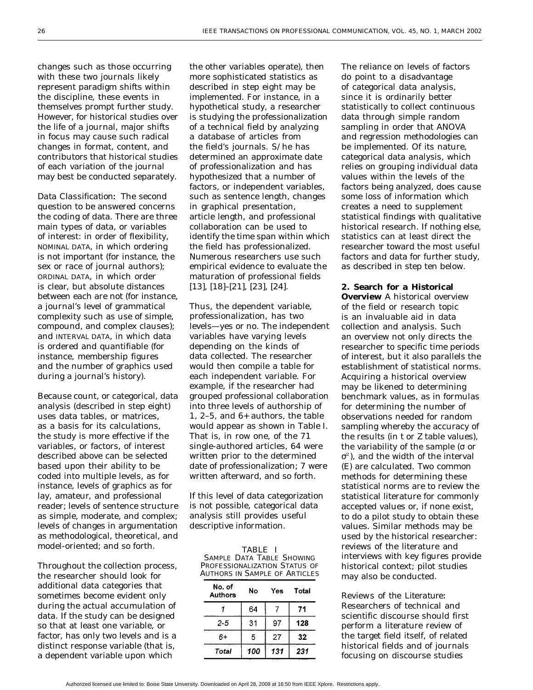changes such as those occurring with these two journals likely represent paradigm shifts within the discipline, these events in themselves prompt further study. However, for historical studies over the life of a journal, major shifts in focus may cause such radical changes in format, content, and contributors that historical studies of each variation of the journal may best be conducted separately.

*Data Classification***:** The second question to be answered concerns the coding of data. There are three main types of data, or variables of interest: in order of flexibility, NOMINAL DATA, in which ordering is not important (for instance, the sex or race of journal authors); ORDINAL DATA, in which order is clear, but absolute distances between each are not (for instance, a journal's level of grammatical complexity such as use of simple, compound, and complex clauses); and INTERVAL DATA, in which data is ordered and quantifiable (for instance, membership figures and the number of graphics used during a journal's history).

Because count, or categorical, data analysis (described in step eight) uses data tables, or matrices, as a basis for its calculations, the study is more effective if the variables, or factors, of interest described above can be selected based upon their ability to be coded into multiple levels, as for instance, levels of graphics as for lay, amateur, and professional reader; levels of sentence structure as simple, moderate, and complex; levels of changes in argumentation as methodological, theoretical, and model-oriented; and so forth.

Throughout the collection process, the researcher should look for additional data categories that sometimes become evident only during the actual accumulation of data. If the study can be designed so that at least one variable, or factor, has only two levels and is a distinct response variable (that is, a dependent variable upon which

the other variables operate), then more sophisticated statistics as described in step eight may be implemented. For instance, in a hypothetical study, a researcher is studying the professionalization of a technical field by analyzing a database of articles from the field's journals. S/he has determined an approximate date of professionalization and has hypothesized that a number of factors, or independent variables, such as sentence length, changes in graphical presentation, article length, and professional collaboration can be used to identify the time span within which the field has professionalized. Numerous researchers use such empirical evidence to evaluate the maturation of professional fields [13], [18]–[21], [23], [24].

Thus, the dependent variable, professionalization, has two levels—yes or no. The independent variables have varying levels depending on the kinds of data collected. The researcher would then compile a table for each independent variable. For example, if the researcher had grouped professional collaboration into three levels of authorship of 1, 2–5, and 6+ authors, the table would appear as shown in Table I. That is, in row one, of the 71 single-authored articles, 64 were written prior to the determined date of professionalization; 7 were written afterward, and so forth.

If this level of data categorization is not possible, categorical data analysis still provides useful descriptive information.

| TABLE I                       |
|-------------------------------|
| SAMPLE DATA TABLE SHOWING     |
| PROFESSIONALIZATION STATUS OF |
| AUTHORS IN SAMPLE OF ARTICLES |
|                               |

| No. of<br><b>Authors</b> | No  | Yes | Total |
|--------------------------|-----|-----|-------|
|                          | 64  |     | 71    |
| $2 - 5$                  | 31  | 97  | 128   |
| 6+                       | 5   | 27  | 32    |
| Total                    | 100 | 131 | 231   |

The reliance on levels of factors do point to a disadvantage of categorical data analysis, since it is ordinarily better statistically to collect continuous data through simple random sampling in order that ANOVA and regression methodologies can be implemented. Of its nature, categorical data analysis, which relies on grouping individual data values within the levels of the factors being analyzed, does cause some loss of information which creates a need to supplement statistical findings with qualitative historical research. If nothing else, statistics can at least direct the researcher toward the most useful factors and data for further study, as described in step ten below.

#### **2. Search for a Historical**

**Overview** A historical overview of the field or research topic is an invaluable aid in data collection and analysis. Such an overview not only directs the researcher to specific time periods of interest, but it also parallels the establishment of statistical norms. Acquiring a historical overview may be likened to determining benchmark values, as in formulas for determining the number of observations needed for random sampling whereby the accuracy of the results (in *t* or *Z* table values), the variability of the sample (σ or  $σ<sup>2</sup>$ ), and the width of the interval (*E*) are calculated. Two common methods for determining these statistical norms are to review the statistical literature for commonly accepted values or, if none exist, to do a pilot study to obtain these values. Similar methods may be used by the historical researcher: reviews of the literature and interviews with key figures provide historical context; pilot studies may also be conducted.

#### *Reviews of the Literature***:** Researchers of technical and scientific discourse should first perform a literature review of the target field itself, of related historical fields and of journals focusing on discourse studies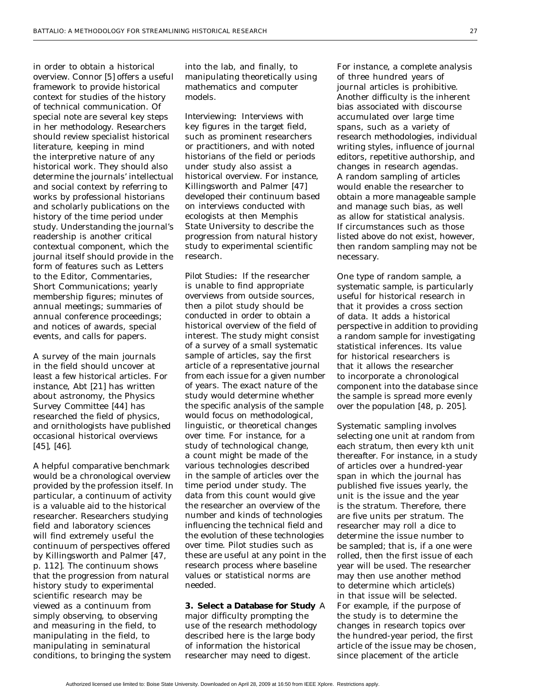in order to obtain a historical overview. Connor [5] offers a useful framework to provide historical context for studies of the history of technical communication. Of special note are several key steps in her methodology. Researchers should review specialist historical literature, keeping in mind the interpretive nature of any historical work. They should also determine the journals' intellectual and social context by referring to works by professional historians and scholarly publications on the history of the time period under study. Understanding the journal's readership is another critical contextual component, which the journal itself should provide in the form of features such as Letters to the Editor, Commentaries, Short Communications; yearly membership figures; minutes of annual meetings; summaries of annual conference proceedings; and notices of awards, special events, and calls for papers.

A survey of the main journals in the field should uncover at least a few historical articles. For instance, Abt [21] has written about astronomy, the Physics Survey Committee [44] has researched the field of physics, and ornithologists have published occasional historical overviews [45], [46].

A helpful comparative benchmark would be a chronological overview provided by the profession itself. In particular, a continuum of activity is a valuable aid to the historical researcher. Researchers studying field and laboratory sciences will find extremely useful the continuum of perspectives offered by Killingsworth and Palmer [47, p. 112]. The continuum shows that the progression from natural history study to experimental scientific research may be viewed as a continuum from simply observing, to observing and measuring in the field, to manipulating in the field, to manipulating in seminatural conditions, to bringing the system

into the lab, and finally, to manipulating theoretically using mathematics and computer models.

*Interviewing***:** Interviews with key figures in the target field, such as prominent researchers or practitioners, and with noted historians of the field or periods under study also assist a historical overview. For instance, Killingsworth and Palmer [47] developed their continuum based on interviews conducted with ecologists at then Memphis State University to describe the progression from natural history study to experimental scientific research.

*Pilot Studies***:** If the researcher is unable to find appropriate overviews from outside sources, then a pilot study should be conducted in order to obtain a historical overview of the field of interest. The study might consist of a survey of a small systematic sample of articles, say the first article of a representative journal from each issue for a given number of years. The exact nature of the study would determine whether the specific analysis of the sample would focus on methodological, linguistic, or theoretical changes over time. For instance, for a study of technological change, a count might be made of the various technologies described in the sample of articles over the time period under study. The data from this count would give the researcher an overview of the number and kinds of technologies influencing the technical field and the evolution of these technologies over time. Pilot studies such as these are useful at any point in the research process where baseline values or statistical norms are needed.

**3. Select a Database for Study** A major difficulty prompting the use of the research methodology described here is the large body of information the historical researcher may need to digest.

For instance, a complete analysis of three hundred years of journal articles is prohibitive. Another difficulty is the inherent bias associated with discourse accumulated over large time spans, such as a variety of research methodologies, individual writing styles, influence of journal editors, repetitive authorship, and changes in research agendas. A random sampling of articles would enable the researcher to obtain a more manageable sample and manage such bias, as well as allow for statistical analysis. If circumstances such as those listed above do not exist, however, then random sampling may not be necessary.

One type of random sample, a systematic sample, is particularly useful for historical research in that it provides a cross section of data. It adds a historical perspective in addition to providing a random sample for investigating statistical inferences. Its value for historical researchers is that it allows the researcher to incorporate a chronological component into the database since the sample is spread more evenly over the population [48, p. 205].

Systematic sampling involves selecting one unit at random from each stratum, then every *k*th unit thereafter. For instance, in a study of articles over a hundred-year span in which the journal has published five issues yearly, the unit is the issue and the year is the stratum. Therefore, there are five units per stratum. The researcher may roll a dice to determine the issue number to be sampled; that is, if a one were rolled, then the first issue of each year will be used. The researcher may then use another method to determine which article(s) in that issue will be selected. For example, if the purpose of the study is to determine the changes in research topics over the hundred-year period, the first article of the issue may be chosen, since placement of the article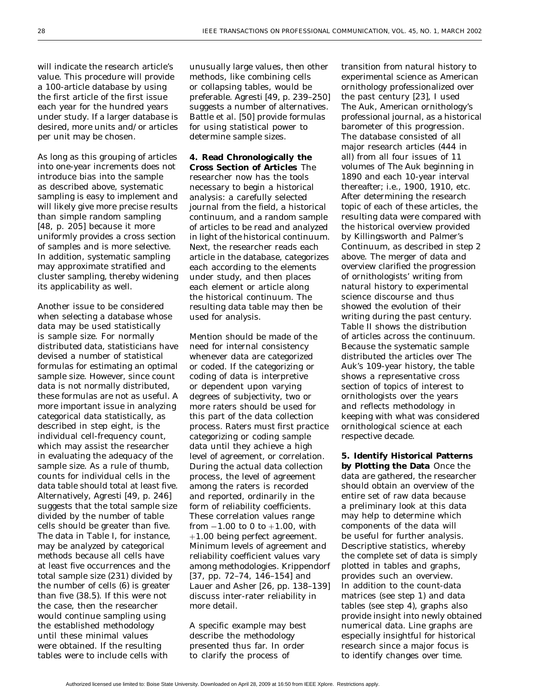will indicate the research article's value. This procedure will provide a 100-article database by using the first article of the first issue each year for the hundred years under study. If a larger database is desired, more units and/or articles per unit may be chosen.

As long as this grouping of articles into one-year increments does not introduce bias into the sample as described above, systematic sampling is easy to implement and will likely give more precise results than simple random sampling [48, p. 205] because it more uniformly provides a cross section of samples and is more selective. In addition, systematic sampling may approximate stratified and cluster sampling, thereby widening its applicability as well.

Another issue to be considered when selecting a database whose data may be used statistically is sample size. For normally distributed data, statisticians have devised a number of statistical formulas for estimating an optimal sample size. However, since count data is not normally distributed, these formulas are not as useful. A more important issue in analyzing categorical data statistically, as described in step eight, is the individual cell-frequency count, which may assist the researcher in evaluating the adequacy of the sample size. As a rule of thumb, counts for individual cells in the data table should total at least five. Alternatively, Agresti [49, p. 246] suggests that the total sample size divided by the number of table cells should be greater than five. The data in Table I, for instance, may be analyzed by categorical methods because all cells have at least five occurrences and the total sample size (231) divided by the number of cells (6) is greater than five (38.5). If this were not the case, then the researcher would continue sampling using the established methodology until these minimal values were obtained. If the resulting tables were to include cells with

unusually large values, then other methods, like combining cells or collapsing tables, would be preferable. Agresti [49, p. 239–250] suggests a number of alternatives. Battle et al. [50] provide formulas for using statistical power to determine sample sizes.

**4. Read Chronologically the Cross Section of Articles** The researcher now has the tools necessary to begin a historical analysis: a carefully selected journal from the field, a historical continuum, and a random sample of articles to be read and analyzed in light of the historical continuum. Next, the researcher reads each article in the database, categorizes each according to the elements under study, and then places each element or article along the historical continuum. The resulting data table may then be used for analysis.

Mention should be made of the need for internal consistency whenever data are categorized or coded. If the categorizing or coding of data is interpretive or dependent upon varying degrees of subjectivity, two or more raters should be used for this part of the data collection process. Raters must first practice categorizing or coding sample data until they achieve a high level of agreement, or correlation. During the actual data collection process, the level of agreement among the raters is recorded and reported, ordinarily in the form of reliability coefficients. These correlation values range from  $-1.00$  to 0 to  $+1.00$ , with +1.00 being perfect agreement. Minimum levels of agreement and reliability coefficient values vary among methodologies. Krippendorf [37, pp. 72–74, 146–154] and Lauer and Asher [26, pp. 138–139] discuss inter-rater reliability in more detail.

A specific example may best describe the methodology presented thus far. In order to clarify the process of

transition from natural history to experimental science as American ornithology professionalized over the past century [23], I used *The Auk*, American ornithology's professional journal, as a historical barometer of this progression. The database consisted of all major research articles (444 in all) from all four issues of 11 volumes of *The Auk* beginning in 1890 and each 10-year interval thereafter; i.e., 1900, 1910, etc. After determining the research topic of each of these articles, the resulting data were compared with the historical overview provided by Killingsworth and Palmer's Continuum, as described in step 2 above. The merger of data and overview clarified the progression of ornithologists' writing from natural history to experimental science discourse and thus showed the evolution of their writing during the past century. Table II shows the distribution of articles across the continuum. Because the systematic sample distributed the articles over *The Auk*'s 109-year history, the table shows a representative cross section of topics of interest to ornithologists over the years and reflects methodology in keeping with what was considered ornithological science at each respective decade.

**5. Identify Historical Patterns by Plotting the Data** Once the data are gathered, the researcher should obtain an overview of the entire set of raw data because a preliminary look at this data may help to determine which components of the data will be useful for further analysis. Descriptive statistics, whereby the complete set of data is simply plotted in tables and graphs, provides such an overview. In addition to the count-data matrices (see step 1) and data tables (see step 4), graphs also provide insight into newly obtained numerical data. Line graphs are especially insightful for historical research since a major focus is to identify changes over time.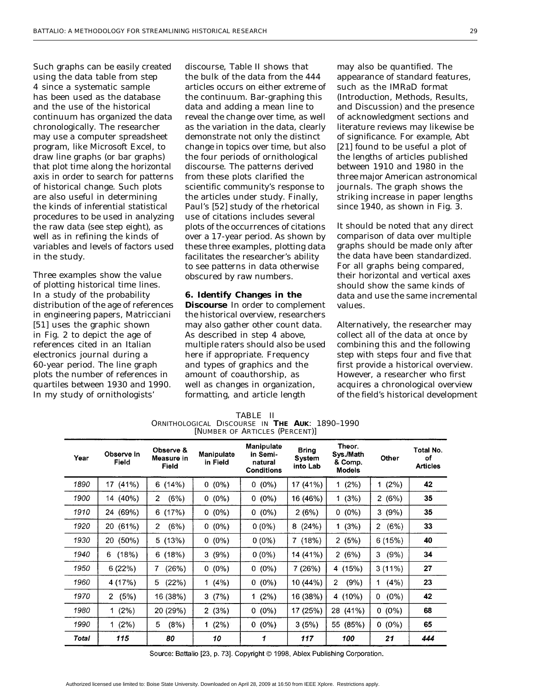Such graphs can be easily created using the data table from step 4 since a systematic sample has been used as the database and the use of the historical continuum has organized the data chronologically. The researcher may use a computer spreadsheet program, like Microsoft Excel, to draw line graphs (or bar graphs) that plot time along the horizontal axis in order to search for patterns of historical change. Such plots are also useful in determining the kinds of inferential statistical procedures to be used in analyzing the raw data (see step eight), as well as in refining the kinds of variables and levels of factors used in the study.

Three examples show the value of plotting historical time lines. In a study of the probability distribution of the age of references in engineering papers, Matricciani [51] uses the graphic shown in Fig. 2 to depict the age of references cited in an Italian electronics journal during a 60-year period. The line graph plots the number of references in quartiles between 1930 and 1990. In my study of ornithologists'

discourse, Table II shows that the bulk of the data from the 444 articles occurs on either extreme of the continuum. Bar-graphing this data and adding a mean line to reveal the change over time, as well as the variation in the data, clearly demonstrate not only the distinct change in topics over time, but also the four periods of ornithological discourse. The patterns derived from these plots clarified the scientific community's response to the articles under study. Finally, Paul's [52] study of the rhetorical use of citations includes several plots of the occurrences of citations over a 17-year period. As shown by these three examples, plotting data facilitates the researcher's ability to see patterns in data otherwise obscured by raw numbers.

#### **6. Identify Changes in the**

**Discourse** In order to complement the historical overview, researchers may also gather other count data. As described in step 4 above, multiple raters should also be used here if appropriate. Frequency and types of graphics and the amount of coauthorship, as well as changes in organization, formatting, and article length

may also be quantified. The appearance of standard features, such as the IMRaD format (Introduction, Methods, Results, and Discussion) and the presence of acknowledgment sections and literature reviews may likewise be of significance. For example, Abt [21] found to be useful a plot of the lengths of articles published between 1910 and 1980 in the three major American astronomical journals. The graph shows the striking increase in paper lengths since 1940, as shown in Fig. 3.

It should be noted that any direct comparison of data over multiple graphs should be made only after the data have been standardized. For all graphs being compared, their horizontal and vertical axes should show the same kinds of data and use the same incremental values.

Alternatively, the researcher may collect all of the data at once by combining this and the following step with steps four and five that first provide a historical overview. However, a researcher who first acquires a chronological overview of the field's historical development

| Year  | Observe in<br>Field | Observe &<br>Measure in<br>Field | Manipulate<br>in Field | Manipulate<br>in Semi-<br>natural<br><b>Conditions</b> | <b>Bring</b><br>System<br>into Lab | Theor.<br>Sys./Math<br>& Comp.<br><b>Models</b> | Other                  | Total No.<br>٥f<br><b>Articles</b> |
|-------|---------------------|----------------------------------|------------------------|--------------------------------------------------------|------------------------------------|-------------------------------------------------|------------------------|------------------------------------|
| 1890  | 17 (41%)            | 6(14%)                           | $0(0\%)$               | $0(0\%)$                                               | 17 (41%)                           | (2%)<br>1.                                      | (2%)<br>1              | 42                                 |
| 1900  | 14 (40%)            | 2<br>(6%)                        | $0(0\%)$               | $0(0\%)$                                               | 16 (46%)                           | 1(3%)                                           | 2(6%)                  | 35                                 |
| 1910  | 24 (69%)            | 6(17%)                           | $0(0\%)$               | $0(0\%)$                                               | 2(6%)                              | $0(0\%)$                                        | 3<br>$(9\%)$           | 35                                 |
| 1920  | 20 (61%)            | $\overline{2}$<br>(6%)           | $0(0\%)$               | $0(0\%)$                                               | 8(24%)                             | 1(3%)                                           | (6%)<br>$\overline{2}$ | 33                                 |
| 1930  | $(50\%)$<br>20.     | 5(13%)                           | $0(0\%)$               | $0(0\%)$                                               | 7(18%)                             | 2(5%)                                           | 6(15%)                 | 40                                 |
| 1940  | (18%)<br>6.         | 6(18%)                           | 3(9%)                  | $0(0\%)$                                               | 14 (41%)                           | 2(6%)                                           | 3<br>(9%)              | 34                                 |
| 1950  | 6(22%)              | 7<br>(26%)                       | $0(0\%)$               | $0(0\%)$                                               | 7 (26%)                            | 4 (15%)                                         | $3(11\%)$              | 27                                 |
| 1960  | 4 (17%)             | 5<br>(22%)                       | 1(4%)                  | $0(0\%)$                                               | 10 (44%)                           | (9%)<br>$\overline{2}$                          | (4%)<br>1.             | 23                                 |
| 1970  | (5%)<br>$2^{\circ}$ | 16 (38%)                         | 3(7%)                  | 1 $(2%)$                                               | 16 (38%)                           | 4 (10%)                                         | (0%)<br>0              | 42                                 |
| 1980  | 1 $(2%)$            | 20 (29%)                         | 2(3%)                  | $0(0\%)$                                               | 17 (25%)                           | 28 (41%)                                        | $0(0\%)$               | 68                                 |
| 1990  | 1(2%)               | (8%)<br>5                        | $1(2\%)$               | $0(0\%)$                                               | 3(5%)                              | 55 (85%)                                        | $0(0\%)$               | 65                                 |
| Total | 115                 | 80                               | 10                     | 1                                                      | 117                                | 100                                             | 21                     | 444                                |

TABLE II ORNITHOLOGICAL DISCOURSE IN *THE AUK*: 1890–1990 [NUMBER OF ARTICLES (PERCENT)]

Source: Battalio [23, p. 73]. Copyright © 1998, Ablex Publishing Corporation.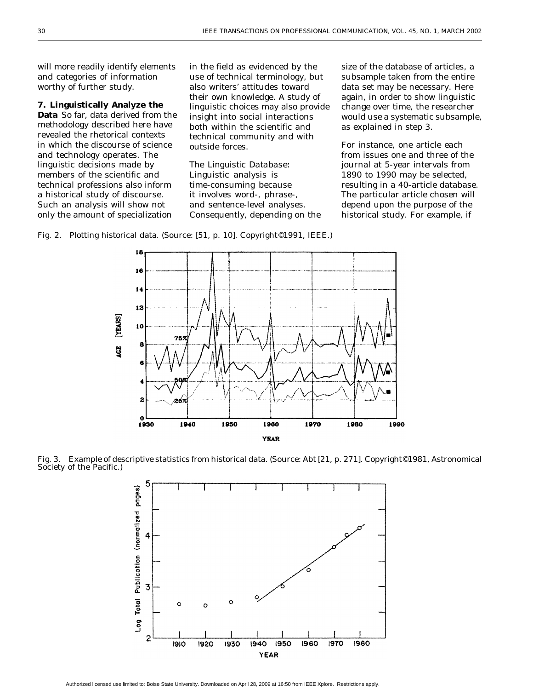will more readily identify elements and categories of information worthy of further study.

#### **7. Linguistically Analyze the**

**Data** So far, data derived from the methodology described here have revealed the rhetorical contexts in which the discourse of science and technology operates. The linguistic decisions made by members of the scientific and technical professions also inform a historical study of discourse. Such an analysis will show not only the amount of specialization

in the field as evidenced by the use of technical terminology, but also writers' attitudes toward their own knowledge. A study of linguistic choices may also provide insight into social interactions both within the scientific and technical community and with outside forces.

*The Linguistic Database***:** Linguistic analysis is time-consuming because it involves word-, phrase-, and sentence-level analyses. Consequently, depending on the size of the database of articles, a subsample taken from the entire data set may be necessary. Here again, in order to show linguistic change over time, the researcher would use a systematic subsample, as explained in step 3.

For instance, one article each from issues one and three of the journal at 5-year intervals from 1890 to 1990 may be selected, resulting in a 40-article database. The particular article chosen will depend upon the purpose of the historical study. For example, if





Fig. 3. Example of descriptive statistics from historical data. (Source: Abt [21, p. 271]. Copyright©1981, Astronomical Society of the Pacific.)

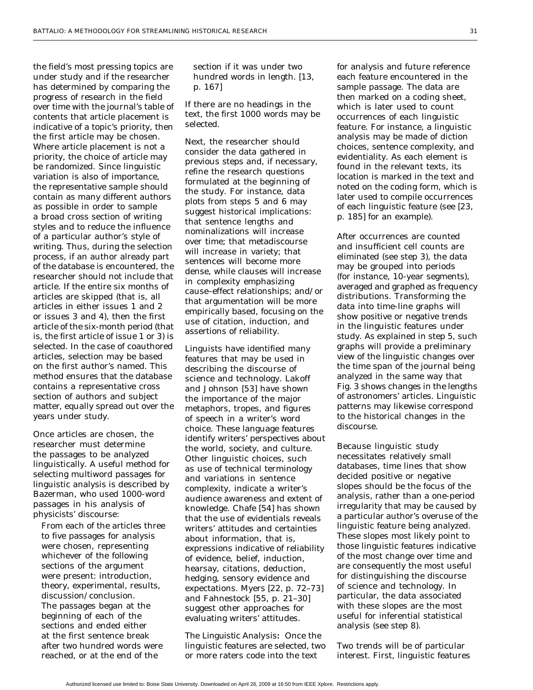the field's most pressing topics are under study and if the researcher has determined by comparing the progress of research in the field over time with the journal's table of contents that article placement is indicative of a topic's priority, then the first article may be chosen. Where article placement is not a priority, the choice of article may be randomized. Since linguistic variation is also of importance, the representative sample should contain as many different authors as possible in order to sample a broad cross section of writing styles and to reduce the influence of a particular author's style of writing. Thus, during the selection process, if an author already part of the database is encountered, the researcher should not include that article. If the entire six months of articles are skipped (that is, all articles in either issues 1 and 2 or issues 3 and 4), then the first article of the six-month period (that is, the first article of issue 1 or 3) is selected. In the case of coauthored articles, selection may be based on the first author's named. This method ensures that the database contains a representative cross section of authors and subject matter, equally spread out over the years under study.

Once articles are chosen, the researcher must determine the passages to be analyzed linguistically. A useful method for selecting multiword passages for linguistic analysis is described by Bazerman, who used 1000-word passages in his analysis of physicists' discourse:

From each of the articles three to five passages for analysis were chosen, representing whichever of the following sections of the argument were present: introduction, theory, experimental, results, discussion/conclusion. The passages began at the beginning of each of the sections and ended either at the first sentence break after two hundred words were reached, or at the end of the

section if it was under two hundred words in length. [13, p. 167]

If there are no headings in the text, the first 1000 words may be selected.

Next, the researcher should consider the data gathered in previous steps and, if necessary, refine the research questions formulated at the beginning of the study. For instance, data plots from steps 5 and 6 may suggest historical implications: that sentence lengths and nominalizations will increase over time; that metadiscourse will increase in variety; that sentences will become more dense, while clauses will increase in complexity emphasizing cause–effect relationships; and/or that argumentation will be more empirically based, focusing on the use of citation, induction, and assertions of reliability.

Linguists have identified many features that may be used in describing the discourse of science and technology. Lakoff and Johnson [53] have shown the importance of the major metaphors, tropes, and figures of speech in a writer's word choice. These language features identify writers' perspectives about the world, society, and culture. Other linguistic choices, such as use of technical terminology and variations in sentence complexity, indicate a writer's audience awareness and extent of knowledge. Chafe [54] has shown that the use of evidentials reveals writers' attitudes and certainties about information, that is, expressions indicative of reliability of evidence, belief, induction, hearsay, citations, deduction, hedging, sensory evidence and expectations. Myers [22, p. 72–73] and Fahnestock [55, p. 21–30] suggest other approaches for evaluating writers' attitudes.

*The Linguistic Analysis***:** Once the linguistic features are selected, two or more raters code into the text

for analysis and future reference each feature encountered in the sample passage. The data are then marked on a coding sheet, which is later used to count occurrences of each linguistic feature. For instance, a linguistic analysis may be made of diction choices, sentence complexity, and evidentiality. As each element is found in the relevant texts, its location is marked in the text and noted on the coding form, which is later used to compile occurrences of each linguistic feature (see [23, p. 185] for an example).

After occurrences are counted and insufficient cell counts are eliminated (see step 3), the data may be grouped into periods (for instance, 10-year segments), averaged and graphed as frequency distributions. Transforming the data into time-line graphs will show positive or negative trends in the linguistic features under study. As explained in step 5, such graphs will provide a preliminary view of the linguistic changes over the time span of the journal being analyzed in the same way that Fig. 3 shows changes in the lengths of astronomers' articles. Linguistic patterns may likewise correspond to the historical changes in the discourse.

Because linguistic study necessitates relatively small databases, time lines that show decided positive or negative slopes should be the focus of the analysis, rather than a one-period irregularity that may be caused by a particular author's overuse of the linguistic feature being analyzed. These slopes most likely point to those linguistic features indicative of the most change over time and are consequently the most useful for distinguishing the discourse of science and technology. In particular, the data associated with these slopes are the most useful for inferential statistical analysis (see step 8).

Two trends will be of particular interest. First, linguistic features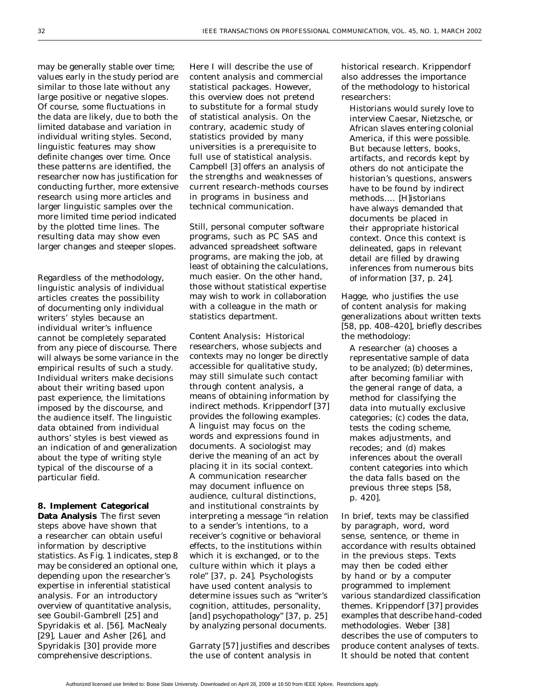may be generally stable over time; values early in the study period are similar to those late without any large positive or negative slopes. Of course, some fluctuations in the data are likely, due to both the limited database and variation in individual writing styles. Second, linguistic features may show definite changes over time. Once these patterns are identified, the researcher now has justification for conducting further, more extensive research using more articles and larger linguistic samples over the more limited time period indicated by the plotted time lines. The resulting data may show even larger changes and steeper slopes.

Regardless of the methodology, linguistic analysis of individual articles creates the possibility of documenting only individual writers' styles because an individual writer's influence cannot be completely separated from any piece of discourse. There will always be some variance in the empirical results of such a study. Individual writers make decisions about their writing based upon past experience, the limitations imposed by the discourse, and the audience itself. The linguistic data obtained from individual authors' styles is best viewed as an indication of and generalization about the type of writing style typical of the discourse of a particular field.

#### **8. Implement Categorical**

**Data Analysis** The first seven steps above have shown that a researcher can obtain useful information by descriptive statistics. As Fig. 1 indicates, step 8 may be considered an optional one, depending upon the researcher's expertise in inferential statistical analysis. For an introductory overview of quantitative analysis, see Goubil-Gambrell [25] and Spyridakis et al. [56]. MacNealy [29], Lauer and Asher [26], and Spyridakis [30] provide more comprehensive descriptions.

Here I will describe the use of content analysis and commercial statistical packages. However, this overview does not pretend to substitute for a formal study of statistical analysis. On the contrary, academic study of statistics provided by many universities is a prerequisite to full use of statistical analysis. Campbell [3] offers an analysis of the strengths and weaknesses of current research-methods courses in programs in business and technical communication.

Still, personal computer software programs, such as PC SAS and advanced spreadsheet software programs, are making the job, at least of obtaining the calculations, much easier. On the other hand, those without statistical expertise may wish to work in collaboration with a colleague in the math or statistics department.

*Content Analysis***:** Historical researchers, whose subjects and contexts may no longer be directly accessible for qualitative study, may still simulate such contact through content analysis, a means of obtaining information by indirect methods. Krippendorf [37] provides the following examples. A linguist may focus on the words and expressions found in documents. A sociologist may derive the meaning of an act by placing it in its social context. A communication researcher may document influence on audience, cultural distinctions, and institutional constraints by interpreting a message "in relation to a sender's intentions, to a receiver's cognitive or behavioral effects, to the institutions within which it is exchanged, or to the culture within which it plays a role" [37, p. 24]. Psychologists have used content analysis to determine issues such as "writer's cognition, attitudes, personality, [and] psychopathology" [37, p. 25] by analyzing personal documents.

Garraty [57] justifies and describes the use of content analysis in

historical research. Krippendorf also addresses the importance of the methodology to historical researchers:

Historians would surely love to interview Caesar, Nietzsche, or African slaves entering colonial America, if this were possible. But because letters, books, artifacts, and records kept by others do not anticipate the historian's questions, answers have to be found by indirect methods…. [H]istorians have always demanded that documents be placed in their appropriate historical context. Once this context is delineated, gaps in relevant detail are filled by drawing inferences from numerous bits of information [37, p. 24].

Hagge, who justifies the use of content analysis for making generalizations about written texts [58, pp. 408–420], briefly describes the methodology:

A researcher (a) chooses a representative sample of data to be analyzed; (b) determines, after becoming familiar with the general range of data, a method for classifying the data into mutually exclusive categories; (c) codes the data, tests the coding scheme, makes adjustments, and recodes; and (d) makes inferences about the overall content categories into which the data falls based on the previous three steps [58, p. 420].

In brief, texts may be classified by paragraph, word, word sense, sentence, or theme in accordance with results obtained in the previous steps. Texts may then be coded either by hand or by a computer programmed to implement various standardized classification themes. Krippendorf [37] provides examples that describe hand-coded methodologies. Weber [38] describes the use of computers to produce content analyses of texts. It should be noted that content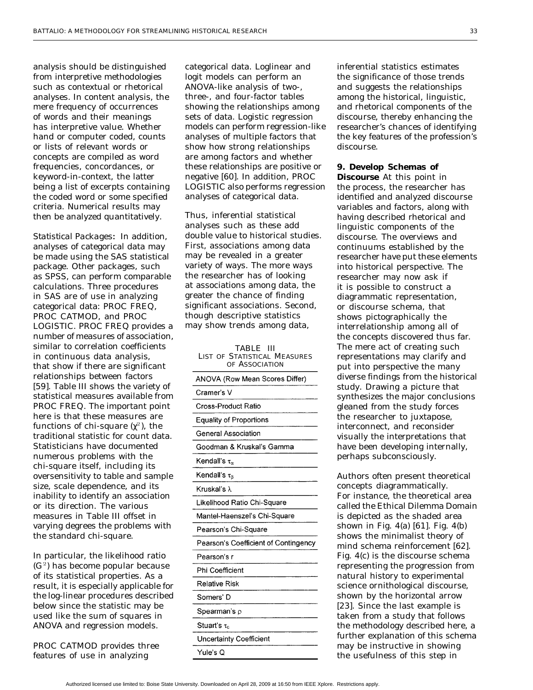analysis should be distinguished from interpretive methodologies such as contextual or rhetorical analyses. In content analysis, the mere frequency of occurrences of words and their meanings has interpretive value. Whether hand or computer coded, counts or lists of relevant words or concepts are compiled as word frequencies, concordances, or keyword-in-context, the latter being a list of excerpts containing the coded word or some specified criteria. Numerical results may then be analyzed quantitatively.

*Statistical Packages***:** In addition, analyses of categorical data may be made using the SAS statistical package. Other packages, such as SPSS, can perform comparable calculations. Three procedures in SAS are of use in analyzing categorical data: PROC FREQ, PROC CATMOD, and PROC LOGISTIC. PROC FREQ provides a number of measures of association, similar to correlation coefficients in continuous data analysis, that show if there are significant relationships between factors [59]. Table III shows the variety of statistical measures available from PROC FREQ. The important point here is that these measures are functions of chi-square  $(χ<sup>2</sup>)$ , the traditional statistic for count data. Statisticians have documented numerous problems with the chi-square itself, including its oversensitivity to table and sample size, scale dependence, and its inability to identify an association or its direction. The various measures in Table III offset in varying degrees the problems with the standard chi-square.

In particular, the likelihood ratio  $(G<sup>2</sup>)$  has become popular because of its statistical properties. As a result, it is especially applicable for the log-linear procedures described below since the statistic may be used like the sum of squares in ANOVA and regression models.

PROC CATMOD provides three features of use in analyzing

categorical data. Loglinear and logit models can perform an ANOVA-like analysis of two-, three-, and four-factor tables showing the relationships among sets of data. Logistic regression models can perform regression-like analyses of multiple factors that show how strong relationships are among factors and whether these relationships are positive or negative [60]. In addition, PROC LOGISTIC also performs regression analyses of categorical data.

Thus, inferential statistical analyses such as these add double value to historical studies. First, associations among data may be revealed in a greater variety of ways. The more ways the researcher has of looking at associations among data, the greater the chance of finding significant associations. Second, though descriptive statistics may show trends among data,

| TABLE -<br>LIST OF STATISTICAL<br><b>MEASURES</b><br>OF ASSOCIATION |
|---------------------------------------------------------------------|
| ANOVA (Row Mean Scores Differ)                                      |
| Cramer's V                                                          |
| Cross-Product Ratio                                                 |
| <b>Equality of Proportions</b>                                      |
| General Association                                                 |
| Goodman & Kruskal's Gamma                                           |
| Kendall's $\tau_\alpha$                                             |
| Kendall's τ $_\text{\tiny{B}}$                                      |
| Kruskal's λ                                                         |
| Likelihood Ratio Chi-Square                                         |
| Mantel-Haenszel's Chi-Square                                        |
| Pearson's Chi-Square                                                |
| Pearson's Coefficient of Contingency                                |
| Pearson's r                                                         |
| Phi Coefficient                                                     |
| <b>Relative Risk</b>                                                |
| Somers' D                                                           |
| Spearman's $\rho$                                                   |
| Stuart's $\tau_c$                                                   |
| Uncertainty Coefficient                                             |
| Yule's O                                                            |

inferential statistics estimates the significance of those trends and suggests the relationships among the historical, linguistic, and rhetorical components of the discourse, thereby enhancing the researcher's chances of identifying the key features of the profession's discourse.

#### **9. Develop Schemas of**

**Discourse** At this point in the process, the researcher has identified and analyzed discourse variables and factors, along with having described rhetorical and linguistic components of the discourse. The overviews and continuums established by the researcher have put these elements into historical perspective. The researcher may now ask if it is possible to construct a diagrammatic representation, or discourse schema, that shows pictographically the interrelationship among all of the concepts discovered thus far. The mere act of creating such representations may clarify and put into perspective the many diverse findings from the historical study. Drawing a picture that synthesizes the major conclusions gleaned from the study forces the researcher to juxtapose, interconnect, and reconsider visually the interpretations that have been developing internally, perhaps subconsciously.

Authors often present theoretical concepts diagrammatically. For instance, the theoretical area called the Ethical Dilemma Domain is depicted as the shaded area shown in Fig. 4(a) [61]. Fig. 4(b) shows the minimalist theory of mind schema reinforcement [62]. Fig. 4(c) is the discourse schema representing the progression from natural history to experimental science ornithological discourse, shown by the horizontal arrow [23]. Since the last example is taken from a study that follows the methodology described here, a further explanation of this schema may be instructive in showing the usefulness of this step in

Authorized licensed use limited to: Boise State University. Downloaded on April 28, 2009 at 16:50 from IEEE Xplore. Restrictions apply.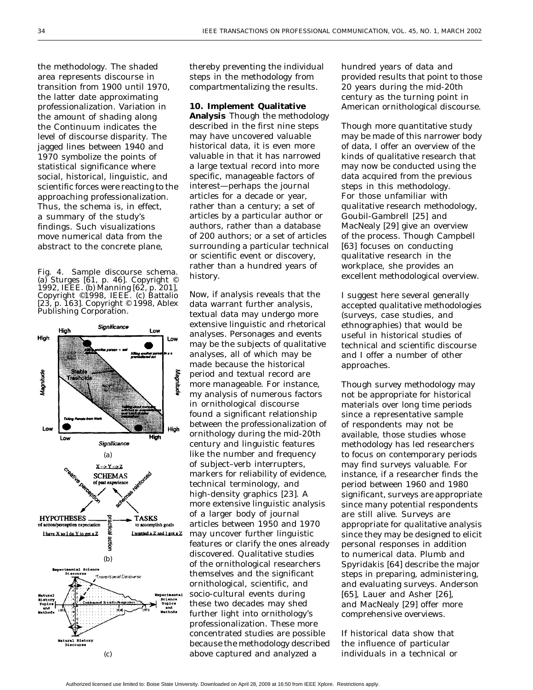the methodology. The shaded area represents discourse in transition from 1900 until 1970, the latter date approximating professionalization. Variation in the amount of shading along the Continuum indicates the level of discourse disparity. The jagged lines between 1940 and 1970 symbolize the points of statistical significance where social, historical, linguistic, and scientific forces were reacting to the approaching professionalization. Thus, the schema is, in effect, a summary of the study's findings. Such visualizations move numerical data from the abstract to the concrete plane,

Fig. 4. Sample discourse schema. (a) Sturges [61, p. 46]. Copyright © 1992, IEEE. (b) Manning [62, p. 201], Copyright ©1998, IEEE. (c) Battalio  $[23, p. 163]$ . Copyright © 1998, Ablex Publishing Corporation.



thereby preventing the individual steps in the methodology from compartmentalizing the results.

#### **10. Implement Qualitative Analysis** Though the methodology

described in the first nine steps may have uncovered valuable historical data, it is even more valuable in that it has narrowed a large textual record into more specific, manageable factors of interest—perhaps the journal articles for a decade or year, rather than a century; a set of articles by a particular author or authors, rather than a database of 200 authors; or a set of articles surrounding a particular technical or scientific event or discovery, rather than a hundred years of history.

Now, if analysis reveals that the data warrant further analysis, textual data may undergo more extensive linguistic and rhetorical analyses. Personages and events may be the subjects of qualitative analyses, all of which may be made because the historical period and textual record are more manageable. For instance, my analysis of numerous factors in ornithological discourse found a significant relationship between the professionalization of ornithology during the mid-20th century and linguistic features like the number and frequency of subject–verb interrupters, markers for reliability of evidence, technical terminology, and high-density graphics [23]. A more extensive linguistic analysis of a larger body of journal articles between 1950 and 1970 may uncover further linguistic features or clarify the ones already discovered. Qualitative studies of the ornithological researchers themselves and the significant ornithological, scientific, and socio-cultural events during these two decades may shed further light into ornithology's professionalization. These more concentrated studies are possible because the methodology described above captured and analyzed a

hundred years of data and provided results that point to those 20 years during the mid-20th century as the turning point in American ornithological discourse.

Though more quantitative study may be made of this narrower body of data, I offer an overview of the kinds of qualitative research that may now be conducted using the data acquired from the previous steps in this methodology. For those unfamiliar with qualitative research methodology, Goubil-Gambrell [25] and MacNealy [29] give an overview of the process. Though Campbell [63] focuses on conducting qualitative research in the workplace, she provides an excellent methodological overview.

I suggest here several generally accepted qualitative methodologies (surveys, case studies, and ethnographies) that would be useful in historical studies of technical and scientific discourse and I offer a number of other approaches.

Though survey methodology may not be appropriate for historical materials over long time periods since a representative sample of respondents may not be available, those studies whose methodology has led researchers to focus on contemporary periods may find surveys valuable. For instance, if a researcher finds the period between 1960 and 1980 significant, surveys are appropriate since many potential respondents are still alive. Surveys are appropriate for qualitative analysis since they may be designed to elicit personal responses in addition to numerical data. Plumb and Spyridakis [64] describe the major steps in preparing, administering, and evaluating surveys. Anderson [65], Lauer and Asher [26], and MacNealy [29] offer more comprehensive overviews.

If historical data show that the influence of particular individuals in a technical or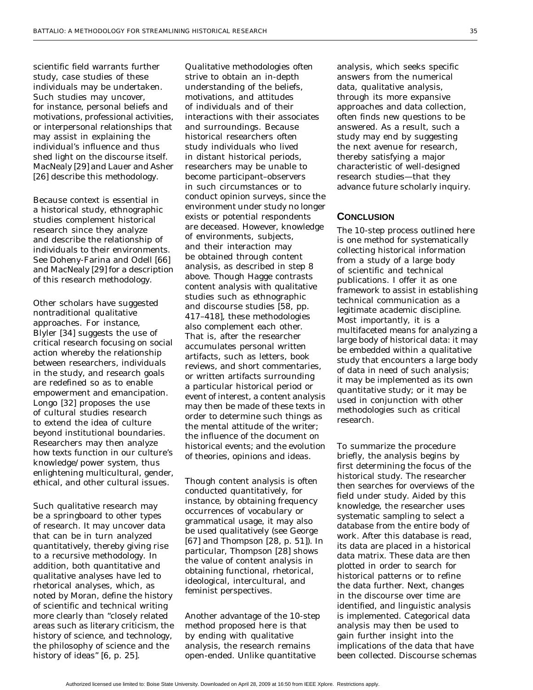scientific field warrants further study, case studies of these individuals may be undertaken. Such studies may uncover, for instance, personal beliefs and motivations, professional activities, or interpersonal relationships that may assist in explaining the individual's influence and thus shed light on the discourse itself. MacNealy [29] and Lauer and Asher [26] describe this methodology.

Because context is essential in a historical study, ethnographic studies complement historical research since they analyze and describe the relationship of individuals to their environments. See Doheny-Farina and Odell [66] and MacNealy [29] for a description of this research methodology.

Other scholars have suggested nontraditional qualitative approaches. For instance, Blyler [34] suggests the use of critical research focusing on social action whereby the relationship between researchers, individuals in the study, and research goals are redefined so as to enable empowerment and emancipation. Longo [32] proposes the use of cultural studies research to extend the idea of culture beyond institutional boundaries. Researchers may then analyze how texts function in our culture's knowledge/power system, thus enlightening multicultural, gender, ethical, and other cultural issues.

Such qualitative research may be a springboard to other types of research. It may uncover data that can be in turn analyzed quantitatively, thereby giving rise to a recursive methodology. In addition, both quantitative and qualitative analyses have led to rhetorical analyses, which, as noted by Moran, define the history of scientific and technical writing more clearly than "closely related areas such as literary criticism, the history of science, and technology, the philosophy of science and the history of ideas" [6, p. 25].

Qualitative methodologies often strive to obtain an in-depth understanding of the beliefs, motivations, and attitudes of individuals and of their interactions with their associates and surroundings. Because historical researchers often study individuals who lived in distant historical periods, researchers may be unable to become participant–observers in such circumstances or to conduct opinion surveys, since the environment under study no longer exists or potential respondents are deceased. However, knowledge of environments, subjects, and their interaction may be obtained through content analysis, as described in step 8 above. Though Hagge contrasts content analysis with qualitative studies such as ethnographic and discourse studies [58, pp. 417–418], these methodologies also complement each other. That is, after the researcher accumulates personal written artifacts, such as letters, book reviews, and short commentaries, or written artifacts surrounding a particular historical period or event of interest, a content analysis may then be made of these texts in order to determine such things as the mental attitude of the writer; the influence of the document on historical events; and the evolution of theories, opinions and ideas.

Though content analysis is often conducted quantitatively, for instance, by obtaining frequency occurrences of vocabulary or grammatical usage, it may also be used qualitatively (see George [67] and Thompson [28, p. 51]). In particular, Thompson [28] shows the value of content analysis in obtaining functional, rhetorical, ideological, intercultural, and feminist perspectives.

Another advantage of the 10-step method proposed here is that by ending with qualitative analysis, the research remains open-ended. Unlike quantitative

analysis, which seeks specific answers from the numerical data, qualitative analysis, through its more expansive approaches and data collection, often finds new questions to be answered. As a result, such a study may end by suggesting the next avenue for research, thereby satisfying a major characteristic of well-designed research studies—that they advance future scholarly inquiry.

#### **CONCLUSION**

The 10-step process outlined here is one method for systematically collecting historical information from a study of a large body of scientific and technical publications. I offer it as one framework to assist in establishing technical communication as a legitimate academic discipline. Most importantly, it is a multifaceted means for analyzing a large body of historical data: it may be embedded within a qualitative study that encounters a large body of data in need of such analysis; it may be implemented as its own quantitative study; or it may be used in conjunction with other methodologies such as critical research.

To summarize the procedure briefly, the analysis begins by first determining the focus of the historical study. The researcher then searches for overviews of the field under study. Aided by this knowledge, the researcher uses systematic sampling to select a database from the entire body of work. After this database is read, its data are placed in a historical data matrix. These data are then plotted in order to search for historical patterns or to refine the data further. Next, changes in the discourse over time are identified, and linguistic analysis is implemented. Categorical data analysis may then be used to gain further insight into the implications of the data that have been collected. Discourse schemas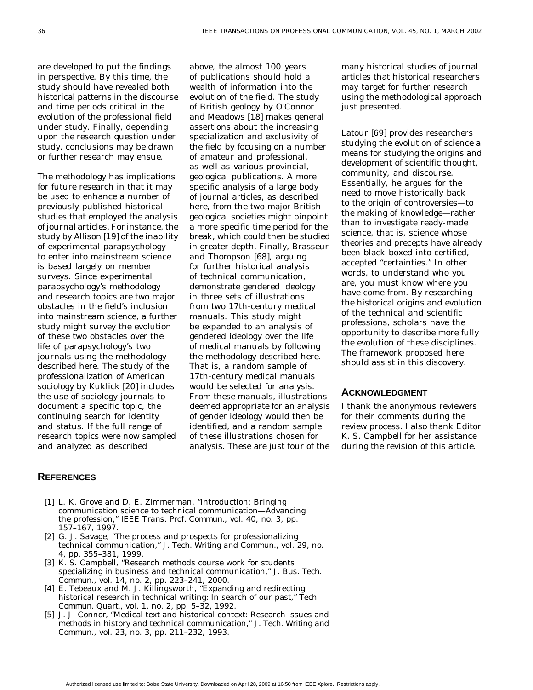are developed to put the findings in perspective. By this time, the study should have revealed both historical patterns in the discourse and time periods critical in the evolution of the professional field under study. Finally, depending upon the research question under study, conclusions may be drawn or further research may ensue.

The methodology has implications for future research in that it may be used to enhance a number of previously published historical studies that employed the analysis of journal articles. For instance, the study by Allison [19] of the inability of experimental parapsychology to enter into mainstream science is based largely on member surveys. Since experimental parapsychology's methodology and research topics are two major obstacles in the field's inclusion into mainstream science, a further study might survey the evolution of these two obstacles over the life of parapsychology's two journals using the methodology described here. The study of the professionalization of American sociology by Kuklick [20] includes the use of sociology journals to document a specific topic, the continuing search for identity and status. If the full range of research topics were now sampled and analyzed as described

above, the almost 100 years of publications should hold a wealth of information into the evolution of the field. The study of British geology by O'Connor and Meadows [18] makes general assertions about the increasing specialization and exclusivity of the field by focusing on a number of amateur and professional, as well as various provincial, geological publications. A more specific analysis of a large body of journal articles, as described here, from the two major British geological societies might pinpoint a more specific time period for the break, which could then be studied in greater depth. Finally, Brasseur and Thompson [68], arguing for further historical analysis of technical communication, demonstrate gendered ideology in three sets of illustrations from two 17th-century medical manuals. This study might be expanded to an analysis of gendered ideology over the life of medical manuals by following the methodology described here. That is, a random sample of 17th-century medical manuals would be selected for analysis. From these manuals, illustrations deemed appropriate for an analysis of gender ideology would then be identified, and a random sample of these illustrations chosen for analysis. These are just four of the

many historical studies of journal articles that historical researchers may target for further research using the methodological approach just presented.

Latour [69] provides researchers studying the evolution of science a means for studying the origins and development of scientific thought, community, and discourse. Essentially, he argues for the need to move historically back to the origin of controversies—to the making of knowledge—rather than to investigate ready-made science, that is, science whose theories and precepts have already been black-boxed into certified, accepted "certainties." In other words, to understand who you are, you must know where you have come from. By researching the historical origins and evolution of the technical and scientific professions, scholars have the opportunity to describe more fully the evolution of these disciplines. The framework proposed here should assist in this discovery.

#### **ACKNOWLEDGMENT**

I thank the anonymous reviewers for their comments during the review process. I also thank Editor K. S. Campbell for her assistance during the revision of this article.

#### **REFERENCES**

- [1] L. K. Grove and D. E. Zimmerman, "Introduction: Bringing communication science to technical communication—Advancing the profession," *IEEE Trans. Prof. Commun.*, vol. 40, no. 3, pp. 157–167, 1997.
- [2] G. J. Savage, "The process and prospects for professionalizing technical communication," *J. Tech. Writing and Commun.*, vol. 29, no. 4, pp. 355–381, 1999.
- [3] K. S. Campbell, "Research methods course work for students specializing in business and technical communication," *J. Bus. Tech. Commun.*, vol. 14, no. 2, pp. 223–241, 2000.
- [4] E. Tebeaux and M. J. Killingsworth, "Expanding and redirecting historical research in technical writing: In search of our past," *Tech. Commun. Quart.*, vol. 1, no. 2, pp. 5–32, 1992.
- [5] J. J. Connor, "Medical text and historical context: Research issues and methods in history and technical communication," *J. Tech. Writing and Commun.*, vol. 23, no. 3, pp. 211–232, 1993.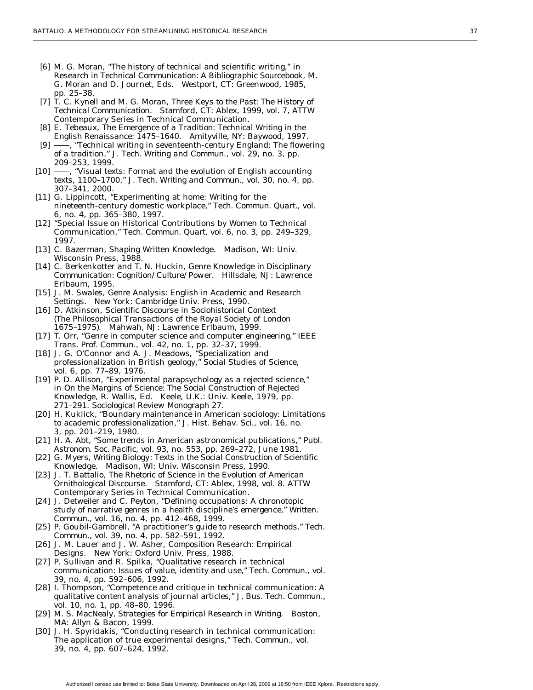- [6] M. G. Moran, "The history of technical and scientific writing," in *Research in Technical Communication: A Bibliographic Sourcebook*, M. G. Moran and D. Journet, Eds. Westport, CT: Greenwood, 1985, pp. 25–38.
- [7] T. C. Kynell and M. G. Moran, *Three Keys to the Past: The History of Technical Communication*. Stamford, CT: Ablex, 1999, vol. 7, ATTW Contemporary Series in Technical Communication.
- [8] E. Tebeaux, *The Emergence of a Tradition: Technical Writing in the English Renaissance: 1475–1640*. Amityville, NY: Baywood, 1997.
- $-$ , "Technical writing in seventeenth-century England: The flowering of a tradition," *J. Tech. Writing and Commun.*, vol. 29, no. 3, pp. 209–253, 1999.
- [10] -, "Visual texts: Format and the evolution of English accounting texts, 1100–1700," *J. Tech. Writing and Commun.*, vol. 30, no. 4, pp. 307–341, 2000.
- [11] G. Lippincott, "Experimenting at home: Writing for the nineteenth-century domestic workplace," *Tech. Commun. Quart.*, vol. 6, no. 4, pp. 365–380, 1997.
- [12] "Special Issue on Historical Contributions by Women to Technical Communication," *Tech. Commun. Quart*, vol. 6, no. 3, pp. 249–329, 1997.
- [13] C. Bazerman, *Shaping Written Knowledge*. Madison, WI: Univ. Wisconsin Press, 1988.
- [14] C. Berkenkotter and T. N. Huckin, *Genre Knowledge in Disciplinary Communication: Cognition/Culture/Power*. Hillsdale, NJ: Lawrence Erlbaum, 1995.
- [15] J. M. Swales, *Genre Analysis: English in Academic and Research Settings*. New York: Cambridge Univ. Press, 1990.
- [16] D. Atkinson, *Scientific Discourse in Sociohistorical Context (The Philosophical Transactions of the Royal Society of London 1675–1975)*. Mahwah, NJ: Lawrence Erlbaum, 1999.
- [17] T. Orr, "Genre in computer science and computer engineering," *IEEE Trans. Prof. Commun.*, vol. 42, no. 1, pp. 32–37, 1999.
- [18] J. G. O'Connor and A. J. Meadows, "Specialization and professionalization in British geology," *Social Studies of Science* , vol. 6, pp. 77–89, 1976.
- [19] P. D. Allison, "Experimental parapsychology as a rejected science," in *On the Margins of Science: The Social Construction of Rejected Knowledge*, R. Wallis, Ed. Keele, U.K.: Univ. Keele, 1979, pp. 271–291. *Sociological Review Monograph* 27.
- [20] H. Kuklick, "Boundary maintenance in American sociology: Limitations to academic professionalization," *J. Hist. Behav. Sci.*, vol. 16, no. 3, pp. 201–219, 1980.
- [21] H. A. Abt, "Some trends in American astronomical publications," *Publ. Astronom. Soc. Pacific*, vol. 93, no. 553, pp. 269–272, June 1981.
- [22] G. Myers, *Writing Biology: Texts in the Social Construction of Scientific Knowledge*. Madison, WI: Univ. Wisconsin Press, 1990.
- [23] J. T. Battalio, *The Rhetoric of Science in the Evolution of American Ornithological Discourse*. Stamford, CT: Ablex, 1998, vol. 8. ATTW Contemporary Series in Technical Communication.
- [24] J. Detweiler and C. Peyton, "Defining occupations: A chronotopic study of narrative genres in a health discipline's emergence," *Written. Commun.*, vol. 16, no. 4, pp. 412–468, 1999.
- [25] P. Goubil-Gambrell, "A practitioner's guide to research methods," *Tech. Commun.*, vol. 39, no. 4, pp. 582–591, 1992.
- [26] J. M. Lauer and J. W. Asher, *Composition Research: Empirical Designs*. New York: Oxford Univ. Press, 1988.
- [27] P. Sullivan and R. Spilka, "Qualitative research in technical communication: Issues of value, identity and use," *Tech. Commun.*, vol. 39, no. 4, pp. 592–606, 1992.
- [28] I. Thompson, "Competence and critique in technical communication: A qualitative content analysis of journal articles," *J. Bus. Tech. Commun.* , vol. 10, no. 1, pp. 48–80, 1996.
- [29] M. S. MacNealy, *Strategies for Empirical Research in Writing*. Boston, MA: Allyn & Bacon, 1999.
- [30] J. H. Spyridakis, "Conducting research in technical communication: The application of true experimental designs," *Tech. Commun.*, vol. 39, no. 4, pp. 607–624, 1992.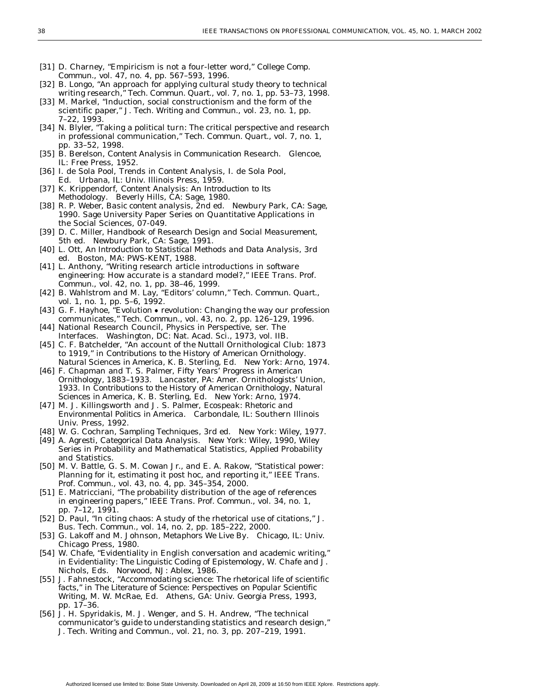- [31] D. Charney, "Empiricism is not a four-letter word," *College Comp. Commun.*, vol. 47, no. 4, pp. 567–593, 1996.
- [32] B. Longo, "An approach for applying cultural study theory to technical writing research," *Tech. Commun. Quart.*, vol. 7, no. 1, pp. 53–73, 1998.
- [33] M. Markel, "Induction, social constructionism and the form of the scientific paper," *J. Tech. Writing and Commun.*, vol. 23, no. 1, pp. 7–22, 1993.
- [34] N. Blyler, "Taking a political turn: The critical perspective and research in professional communication," *Tech. Commun. Quart.*, vol. 7, no. 1, pp. 33–52, 1998.
- [35] B. Berelson, *Content Analysis in Communication Research*. Glencoe, IL: Free Press, 1952.
- [36] I. de Sola Pool, *Trends in Content Analysis*, I. de Sola Pool, Ed. Urbana, IL: Univ. Illinois Press, 1959.
- [37] K. Krippendorf, *Content Analysis: An Introduction to Its Methodology*. Beverly Hills, CA: Sage, 1980.
- [38] R. P. Weber, *Basic content analysis*, 2nd ed. Newbury Park, CA: Sage, 1990. Sage University Paper Series on Quantitative Applications in the Social Sciences, 07-049.
- [39] D. C. Miller, *Handbook of Research Design and Social Measurement*, 5th ed. Newbury Park, CA: Sage, 1991.
- [40] L. Ott, *An Introduction to Statistical Methods and Data Analysis*, 3rd ed. Boston, MA: PWS-KENT, 1988.
- [41] L. Anthony, "Writing research article introductions in software engineering: How accurate is a standard model?," *IEEE Trans. Prof. Commun.*, vol. 42, no. 1, pp. 38–46, 1999.
- [42] B. Wahlstrom and M. Lay, "Editors' column," *Tech. Commun. Quart.*, vol. 1, no. 1, pp. 5–6, 1992.
- [43] G. F. Hayhoe, "Evolution revolution: Changing the way our profession communicates," *Tech. Commun.*, vol. 43, no. 2, pp. 126–129, 1996.
- [44] National Research Council, *Physics in Perspective*, ser. The Interfaces. Washington, DC: Nat. Acad. Sci., 1973, vol. IIB.
- [45] C. F. Batchelder, "An account of the Nuttall Ornithological Club: 1873 to 1919," in *Contributions to the History of American Ornithology*. *Natural Sciences in America*, K. B. Sterling, Ed. New York: Arno, 1974.
- [46] F. Chapman and T. S. Palmer, *Fifty Years' Progress in American Ornithology, 1883–1933*. Lancaster, PA: Amer. Ornithologists' Union, 1933. In *Contributions to the History of American Ornithology*, *Natural Sciences in America*, K. B. Sterling, Ed. New York: Arno, 1974.
- [47] M. J. Killingsworth and J. S. Palmer, *Ecospeak: Rhetoric and Environmental Politics in America*. Carbondale, IL: Southern Illinois Univ. Press, 1992.
- [48] W. G. Cochran, *Sampling Techniques*, 3rd ed. New York: Wiley, 1977.
- [49] A. Agresti, *Categorical Data Analysis*. New York: Wiley, 1990, Wiley Series in Probability and Mathematical Statistics, Applied Probability and Statistics.
- [50] M. V. Battle, G. S. M. Cowan Jr., and E. A. Rakow, "Statistical power: Planning for it, estimating it post hoc, and reporting it," *IEEE Trans. Prof. Commun.*, vol. 43, no. 4, pp. 345–354, 2000.
- [51] E. Matricciani, "The probability distribution of the age of references in engineering papers," *IEEE Trans. Prof. Commun.*, vol. 34, no. 1, pp. 7–12, 1991.
- [52] D. Paul, "In citing chaos: A study of the rhetorical use of citations," *J. Bus. Tech. Commun.*, vol. 14, no. 2, pp. 185–222, 2000.
- [53] G. Lakoff and M. Johnson, *Metaphors We Live By*. Chicago, IL: Univ. Chicago Press, 1980.
- [54] W. Chafe, "Evidentiality in English conversation and academic writing," in *Evidentiality: The Linguistic Coding of Epistemology*, W. Chafe and J. Nichols, Eds. Norwood, NJ: Ablex, 1986.
- [55] J. Fahnestock, "Accommodating science: The rhetorical life of scientific facts," in *The Literature of Science: Perspectives on Popular Scientific Writing*, M. W. McRae, Ed. Athens, GA: Univ. Georgia Press, 1993, pp. 17–36.
- [56] J. H. Spyridakis, M. J. Wenger, and S. H. Andrew, "The technical communicator's guide to understanding statistics and research design," *J. Tech. Writing and Commun.*, vol. 21, no. 3, pp. 207–219, 1991.